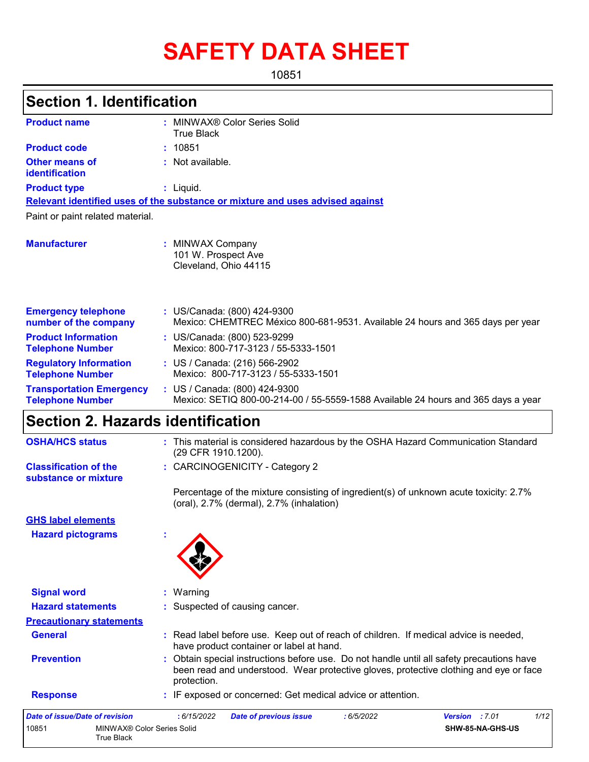# **SAFETY DATA SHEET**

10851

| <b>Section 1. Identification</b>                           |                                                                                                                                                                                                 |  |  |  |  |
|------------------------------------------------------------|-------------------------------------------------------------------------------------------------------------------------------------------------------------------------------------------------|--|--|--|--|
| <b>Product name</b>                                        | : MINWAX® Color Series Solid<br><b>True Black</b>                                                                                                                                               |  |  |  |  |
| <b>Product code</b>                                        | : 10851                                                                                                                                                                                         |  |  |  |  |
| <b>Other means of</b><br>identification                    | : Not available.                                                                                                                                                                                |  |  |  |  |
| <b>Product type</b>                                        | : Liquid.                                                                                                                                                                                       |  |  |  |  |
|                                                            | Relevant identified uses of the substance or mixture and uses advised against                                                                                                                   |  |  |  |  |
| Paint or paint related material.                           |                                                                                                                                                                                                 |  |  |  |  |
| <b>Manufacturer</b>                                        | : MINWAX Company<br>101 W. Prospect Ave<br>Cleveland, Ohio 44115                                                                                                                                |  |  |  |  |
| <b>Emergency telephone</b><br>number of the company        | : US/Canada: (800) 424-9300<br>Mexico: CHEMTREC México 800-681-9531. Available 24 hours and 365 days per year                                                                                   |  |  |  |  |
| <b>Product Information</b><br><b>Telephone Number</b>      | : US/Canada: (800) 523-9299<br>Mexico: 800-717-3123 / 55-5333-1501                                                                                                                              |  |  |  |  |
| <b>Regulatory Information</b><br><b>Telephone Number</b>   | : US / Canada: (216) 566-2902<br>Mexico: 800-717-3123 / 55-5333-1501                                                                                                                            |  |  |  |  |
| <b>Transportation Emergency</b><br><b>Telephone Number</b> | : US / Canada: (800) 424-9300<br>Mexico: SETIQ 800-00-214-00 / 55-5559-1588 Available 24 hours and 365 days a year                                                                              |  |  |  |  |
| <b>Section 2. Hazards identification</b>                   |                                                                                                                                                                                                 |  |  |  |  |
| <b>OSHA/HCS status</b>                                     | : This material is considered hazardous by the OSHA Hazard Communication Standard<br>(29 CFR 1910.1200).                                                                                        |  |  |  |  |
| <b>Classification of the</b><br>substance or mixture       | : CARCINOGENICITY - Category 2                                                                                                                                                                  |  |  |  |  |
|                                                            | Percentage of the mixture consisting of ingredient(s) of unknown acute toxicity: 2.7%<br>(oral), 2.7% (dermal), 2.7% (inhalation)                                                               |  |  |  |  |
| <b>GHS label elements</b>                                  |                                                                                                                                                                                                 |  |  |  |  |
| <b>Hazard pictograms</b>                                   |                                                                                                                                                                                                 |  |  |  |  |
| <b>Signal word</b>                                         | : Warning                                                                                                                                                                                       |  |  |  |  |
| <b>Hazard statements</b>                                   | Suspected of causing cancer.                                                                                                                                                                    |  |  |  |  |
| <b>Precautionary statements</b>                            |                                                                                                                                                                                                 |  |  |  |  |
| <b>General</b>                                             | : Read label before use. Keep out of reach of children. If medical advice is needed,<br>have product container or label at hand.                                                                |  |  |  |  |
| <b>Prevention</b>                                          | Obtain special instructions before use. Do not handle until all safety precautions have<br>been read and understood. Wear protective gloves, protective clothing and eye or face<br>protection. |  |  |  |  |
| <b>Response</b>                                            | : IF exposed or concerned: Get medical advice or attention.                                                                                                                                     |  |  |  |  |

| Date of issue/Date of revision |                                          | :6/15/2022 | <b>Date of previous issue</b> | : 6/5/2022 | <b>Version</b> : 7.01 |                         | 1/12 |
|--------------------------------|------------------------------------------|------------|-------------------------------|------------|-----------------------|-------------------------|------|
| 10851                          | MINWAX® Color Series Solid<br>True Black |            |                               |            |                       | <b>SHW-85-NA-GHS-US</b> |      |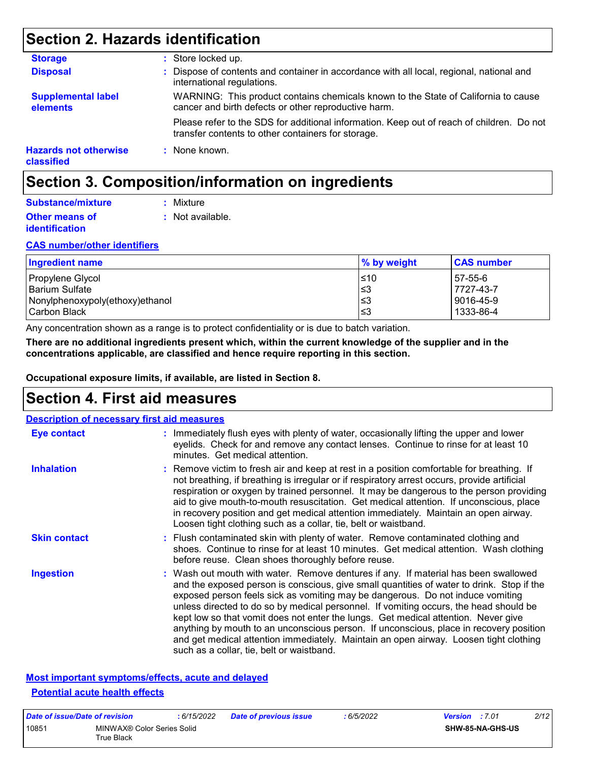## **Section 2. Hazards identification**

| <b>Storage</b>                             | : Store locked up.                                                                                                                              |
|--------------------------------------------|-------------------------------------------------------------------------------------------------------------------------------------------------|
| <b>Disposal</b>                            | : Dispose of contents and container in accordance with all local, regional, national and<br>international regulations.                          |
| <b>Supplemental label</b><br>elements      | WARNING: This product contains chemicals known to the State of California to cause<br>cancer and birth defects or other reproductive harm.      |
|                                            | Please refer to the SDS for additional information. Keep out of reach of children. Do not<br>transfer contents to other containers for storage. |
| <b>Hazards not otherwise</b><br>classified | : None known.                                                                                                                                   |

## **Section 3. Composition/information on ingredients**

| Substance/mixture     | : Mixture        |
|-----------------------|------------------|
| <b>Other means of</b> | : Not available. |
| <b>identification</b> |                  |

#### **CAS number/other identifiers**

| <b>Ingredient name</b>          | $\%$ by weight | <b>CAS number</b> |
|---------------------------------|----------------|-------------------|
| Propylene Glycol                | ≤10            | 57-55-6           |
| <b>Barium Sulfate</b>           | I≤З            | 7727-43-7         |
| Nonylphenoxypoly(ethoxy)ethanol | ∣≤3            | 9016-45-9         |
| Carbon Black                    | l≤3            | 1333-86-4         |

Any concentration shown as a range is to protect confidentiality or is due to batch variation.

**There are no additional ingredients present which, within the current knowledge of the supplier and in the concentrations applicable, are classified and hence require reporting in this section.**

**Occupational exposure limits, if available, are listed in Section 8.**

### **Section 4. First aid measures**

|                     | <b>Description of necessary first aid measures</b>                                                                                                                                                                                                                                                                                                                                                                                                                                                                                                                                                                                                                                |
|---------------------|-----------------------------------------------------------------------------------------------------------------------------------------------------------------------------------------------------------------------------------------------------------------------------------------------------------------------------------------------------------------------------------------------------------------------------------------------------------------------------------------------------------------------------------------------------------------------------------------------------------------------------------------------------------------------------------|
| <b>Eye contact</b>  | : Immediately flush eyes with plenty of water, occasionally lifting the upper and lower<br>eyelids. Check for and remove any contact lenses. Continue to rinse for at least 10<br>minutes. Get medical attention.                                                                                                                                                                                                                                                                                                                                                                                                                                                                 |
| <b>Inhalation</b>   | : Remove victim to fresh air and keep at rest in a position comfortable for breathing. If<br>not breathing, if breathing is irregular or if respiratory arrest occurs, provide artificial<br>respiration or oxygen by trained personnel. It may be dangerous to the person providing<br>aid to give mouth-to-mouth resuscitation. Get medical attention. If unconscious, place<br>in recovery position and get medical attention immediately. Maintain an open airway.<br>Loosen tight clothing such as a collar, tie, belt or waistband.                                                                                                                                         |
| <b>Skin contact</b> | : Flush contaminated skin with plenty of water. Remove contaminated clothing and<br>shoes. Continue to rinse for at least 10 minutes. Get medical attention. Wash clothing<br>before reuse. Clean shoes thoroughly before reuse.                                                                                                                                                                                                                                                                                                                                                                                                                                                  |
| <b>Ingestion</b>    | : Wash out mouth with water. Remove dentures if any. If material has been swallowed<br>and the exposed person is conscious, give small quantities of water to drink. Stop if the<br>exposed person feels sick as vomiting may be dangerous. Do not induce vomiting<br>unless directed to do so by medical personnel. If vomiting occurs, the head should be<br>kept low so that vomit does not enter the lungs. Get medical attention. Never give<br>anything by mouth to an unconscious person. If unconscious, place in recovery position<br>and get medical attention immediately. Maintain an open airway. Loosen tight clothing<br>such as a collar, tie, belt or waistband. |

#### **Most important symptoms/effects, acute and delayed Potential acute health effects**

| Date of issue/Date of revision |                                          | : 6/15/2022 | <b>Date of previous issue</b> | : 6/5/2022 | <b>Version</b> : 7.01 |                         | 2/12 |
|--------------------------------|------------------------------------------|-------------|-------------------------------|------------|-----------------------|-------------------------|------|
| 10851                          | MINWAX® Color Series Solid<br>True Black |             |                               |            |                       | <b>SHW-85-NA-GHS-US</b> |      |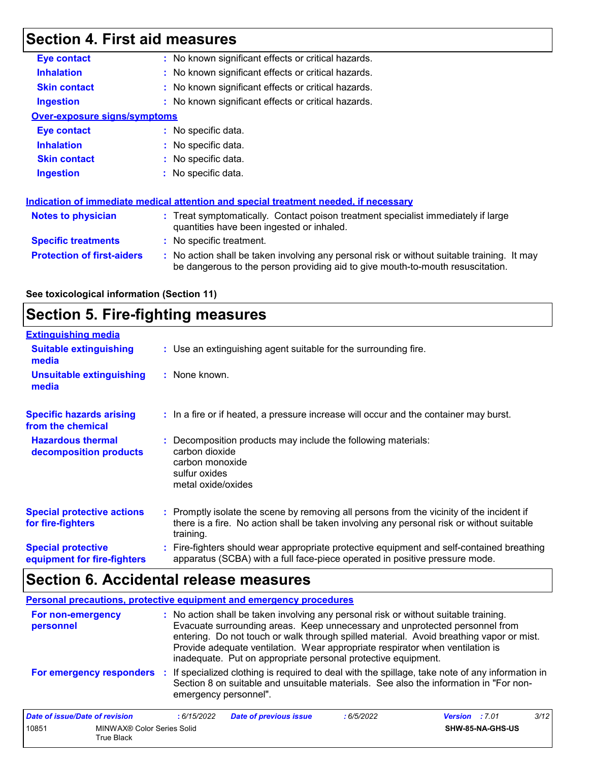## **Section 4. First aid measures**

| <b>Eye contact</b>                  | : No known significant effects or critical hazards.                                                                                                                           |
|-------------------------------------|-------------------------------------------------------------------------------------------------------------------------------------------------------------------------------|
| <b>Inhalation</b>                   | : No known significant effects or critical hazards.                                                                                                                           |
| <b>Skin contact</b>                 | : No known significant effects or critical hazards.                                                                                                                           |
| <b>Ingestion</b>                    | : No known significant effects or critical hazards.                                                                                                                           |
| <b>Over-exposure signs/symptoms</b> |                                                                                                                                                                               |
| Eye contact                         | : No specific data.                                                                                                                                                           |
| <b>Inhalation</b>                   | : No specific data.                                                                                                                                                           |
| <b>Skin contact</b>                 | : No specific data.                                                                                                                                                           |
| <b>Ingestion</b>                    | : No specific data.                                                                                                                                                           |
|                                     | <u>Indication of immediate medical attention and special treatment needed, if necessary</u>                                                                                   |
| Notes to physician                  | : Treat symptomatically. Contact poison treatment specialist immediately if large<br>quantities have been ingested or inhaled.                                                |
| <b>Specific treatments</b>          | : No specific treatment.                                                                                                                                                      |
| <b>Protection of first-aiders</b>   | : No action shall be taken involving any personal risk or without suitable training. It may<br>be dangerous to the person providing aid to give mouth-to-mouth resuscitation. |
|                                     |                                                                                                                                                                               |

#### **See toxicological information (Section 11)**

## **Section 5. Fire-fighting measures**

| <b>Extinguishing media</b>                               |                                                                                                                                                                                                     |
|----------------------------------------------------------|-----------------------------------------------------------------------------------------------------------------------------------------------------------------------------------------------------|
| <b>Suitable extinguishing</b><br>media                   | : Use an extinguishing agent suitable for the surrounding fire.                                                                                                                                     |
| <b>Unsuitable extinguishing</b><br>media                 | : None known.                                                                                                                                                                                       |
| <b>Specific hazards arising</b><br>from the chemical     | : In a fire or if heated, a pressure increase will occur and the container may burst.                                                                                                               |
| <b>Hazardous thermal</b><br>decomposition products       | : Decomposition products may include the following materials:<br>carbon dioxide<br>carbon monoxide<br>sulfur oxides<br>metal oxide/oxides                                                           |
| <b>Special protective actions</b><br>for fire-fighters   | : Promptly isolate the scene by removing all persons from the vicinity of the incident if<br>there is a fire. No action shall be taken involving any personal risk or without suitable<br>training. |
| <b>Special protective</b><br>equipment for fire-fighters | : Fire-fighters should wear appropriate protective equipment and self-contained breathing<br>apparatus (SCBA) with a full face-piece operated in positive pressure mode.                            |

## **Section 6. Accidental release measures**

|                                | Personal precautions, protective equipment and emergency procedures                                                                                                                                                                                                                                                                                                                                              |  |
|--------------------------------|------------------------------------------------------------------------------------------------------------------------------------------------------------------------------------------------------------------------------------------------------------------------------------------------------------------------------------------------------------------------------------------------------------------|--|
| For non-emergency<br>personnel | : No action shall be taken involving any personal risk or without suitable training.<br>Evacuate surrounding areas. Keep unnecessary and unprotected personnel from<br>entering. Do not touch or walk through spilled material. Avoid breathing vapor or mist.<br>Provide adequate ventilation. Wear appropriate respirator when ventilation is<br>inadequate. Put on appropriate personal protective equipment. |  |
| For emergency responders       | : If specialized clothing is required to deal with the spillage, take note of any information in<br>Section 8 on suitable and unsuitable materials. See also the information in "For non-<br>emergency personnel".                                                                                                                                                                                               |  |

| Date of issue/Date of revision |                                          | : 6/15/2022 | Date of previous issue | : 6/5/2022 | <b>Version</b> : 7.01 |                         | 3/12 |
|--------------------------------|------------------------------------------|-------------|------------------------|------------|-----------------------|-------------------------|------|
| 10851                          | MINWAX® Color Series Solid<br>True Black |             |                        |            |                       | <b>SHW-85-NA-GHS-US</b> |      |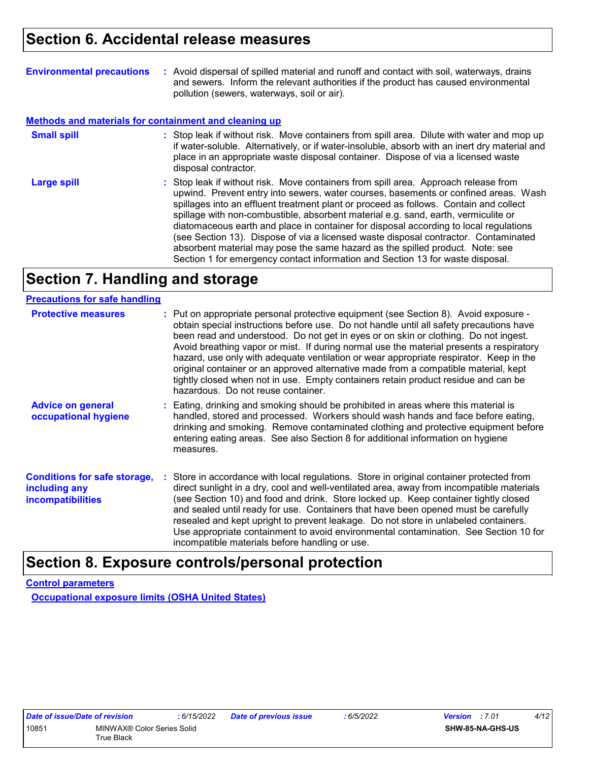| <b>Environmental precautions</b> | : Avoid dispersal of spilled material and runoff and contact with soil, waterways, drains |
|----------------------------------|-------------------------------------------------------------------------------------------|
|                                  | and sewers. Inform the relevant authorities if the product has caused environmental       |
|                                  | pollution (sewers, waterways, soil or air).                                               |

#### **Methods and materials for containment and cleaning up**

| <b>Small spill</b> | : Stop leak if without risk. Move containers from spill area. Dilute with water and mop up<br>if water-soluble. Alternatively, or if water-insoluble, absorb with an inert dry material and<br>place in an appropriate waste disposal container. Dispose of via a licensed waste<br>disposal contractor.                                                                                                                                                                                                                                                                                                                                                                                                     |
|--------------------|--------------------------------------------------------------------------------------------------------------------------------------------------------------------------------------------------------------------------------------------------------------------------------------------------------------------------------------------------------------------------------------------------------------------------------------------------------------------------------------------------------------------------------------------------------------------------------------------------------------------------------------------------------------------------------------------------------------|
| <b>Large spill</b> | : Stop leak if without risk. Move containers from spill area. Approach release from<br>upwind. Prevent entry into sewers, water courses, basements or confined areas. Wash<br>spillages into an effluent treatment plant or proceed as follows. Contain and collect<br>spillage with non-combustible, absorbent material e.g. sand, earth, vermiculite or<br>diatomaceous earth and place in container for disposal according to local regulations<br>(see Section 13). Dispose of via a licensed waste disposal contractor. Contaminated<br>absorbent material may pose the same hazard as the spilled product. Note: see<br>Section 1 for emergency contact information and Section 13 for waste disposal. |

## **Section 7. Handling and storage**

| <b>Precautions for safe handling</b>                                             |                                                                                                                                                                                                                                                                                                                                                                                                                                                                                                                                                                                                                                                                                |
|----------------------------------------------------------------------------------|--------------------------------------------------------------------------------------------------------------------------------------------------------------------------------------------------------------------------------------------------------------------------------------------------------------------------------------------------------------------------------------------------------------------------------------------------------------------------------------------------------------------------------------------------------------------------------------------------------------------------------------------------------------------------------|
| <b>Protective measures</b>                                                       | : Put on appropriate personal protective equipment (see Section 8). Avoid exposure -<br>obtain special instructions before use. Do not handle until all safety precautions have<br>been read and understood. Do not get in eyes or on skin or clothing. Do not ingest.<br>Avoid breathing vapor or mist. If during normal use the material presents a respiratory<br>hazard, use only with adequate ventilation or wear appropriate respirator. Keep in the<br>original container or an approved alternative made from a compatible material, kept<br>tightly closed when not in use. Empty containers retain product residue and can be<br>hazardous. Do not reuse container. |
| <b>Advice on general</b><br>occupational hygiene                                 | : Eating, drinking and smoking should be prohibited in areas where this material is<br>handled, stored and processed. Workers should wash hands and face before eating,<br>drinking and smoking. Remove contaminated clothing and protective equipment before<br>entering eating areas. See also Section 8 for additional information on hygiene<br>measures.                                                                                                                                                                                                                                                                                                                  |
| <b>Conditions for safe storage,</b><br>including any<br><b>incompatibilities</b> | : Store in accordance with local regulations. Store in original container protected from<br>direct sunlight in a dry, cool and well-ventilated area, away from incompatible materials<br>(see Section 10) and food and drink. Store locked up. Keep container tightly closed<br>and sealed until ready for use. Containers that have been opened must be carefully<br>resealed and kept upright to prevent leakage. Do not store in unlabeled containers.<br>Use appropriate containment to avoid environmental contamination. See Section 10 for<br>incompatible materials before handling or use.                                                                            |

### **Section 8. Exposure controls/personal protection**

**Control parameters**

**Occupational exposure limits (OSHA United States)**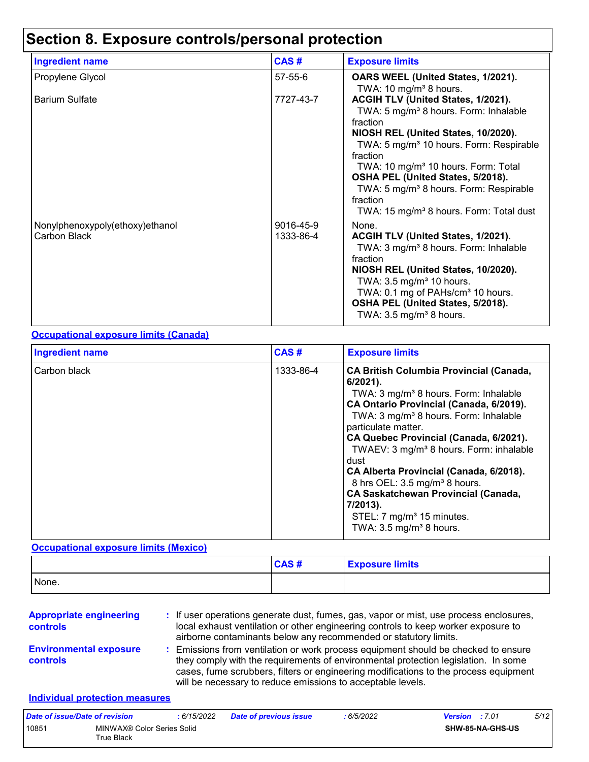## **Section 8. Exposure controls/personal protection**

| <b>Ingredient name</b>                          | CAS#                   | <b>Exposure limits</b>                                                                                                                                                                                                                                                                                                                                                                                                         |
|-------------------------------------------------|------------------------|--------------------------------------------------------------------------------------------------------------------------------------------------------------------------------------------------------------------------------------------------------------------------------------------------------------------------------------------------------------------------------------------------------------------------------|
| Propylene Glycol                                | 57-55-6                | OARS WEEL (United States, 1/2021).<br>TWA: 10 mg/m <sup>3</sup> 8 hours.                                                                                                                                                                                                                                                                                                                                                       |
| <b>Barium Sulfate</b>                           | 7727-43-7              | ACGIH TLV (United States, 1/2021).<br>TWA: 5 mg/m <sup>3</sup> 8 hours. Form: Inhalable<br>fraction<br>NIOSH REL (United States, 10/2020).<br>TWA: 5 mg/m <sup>3</sup> 10 hours. Form: Respirable<br>fraction<br>TWA: 10 mg/m <sup>3</sup> 10 hours. Form: Total<br>OSHA PEL (United States, 5/2018).<br>TWA: 5 mg/m <sup>3</sup> 8 hours. Form: Respirable<br>fraction<br>TWA: 15 mg/m <sup>3</sup> 8 hours. Form: Total dust |
| Nonylphenoxypoly(ethoxy)ethanol<br>Carbon Black | 9016-45-9<br>1333-86-4 | None.<br>ACGIH TLV (United States, 1/2021).<br>TWA: 3 mg/m <sup>3</sup> 8 hours. Form: Inhalable<br>fraction<br>NIOSH REL (United States, 10/2020).<br>TWA: $3.5 \text{ mg/m}^3$ 10 hours.<br>TWA: 0.1 mg of PAHs/cm <sup>3</sup> 10 hours.<br>OSHA PEL (United States, 5/2018).<br>TWA: $3.5 \text{ mg/m}^3$ 8 hours.                                                                                                         |

#### **Occupational exposure limits (Canada)**

| <b>Ingredient name</b> | CAS#      | <b>Exposure limits</b>                                                                                                                                                                                                                                                                                                                                                                                                                                                                                                                                                              |
|------------------------|-----------|-------------------------------------------------------------------------------------------------------------------------------------------------------------------------------------------------------------------------------------------------------------------------------------------------------------------------------------------------------------------------------------------------------------------------------------------------------------------------------------------------------------------------------------------------------------------------------------|
| Carbon black           | 1333-86-4 | <b>CA British Columbia Provincial (Canada,</b><br>$6/2021$ ).<br>TWA: 3 mg/m <sup>3</sup> 8 hours. Form: Inhalable<br>CA Ontario Provincial (Canada, 6/2019).<br>TWA: 3 mg/m <sup>3</sup> 8 hours. Form: Inhalable<br>particulate matter.<br>CA Quebec Provincial (Canada, 6/2021).<br>TWAEV: 3 mg/m <sup>3</sup> 8 hours. Form: inhalable<br>dust<br>CA Alberta Provincial (Canada, 6/2018).<br>8 hrs OEL: 3.5 mg/m <sup>3</sup> 8 hours.<br><b>CA Saskatchewan Provincial (Canada,</b><br>7/2013).<br>STEL: 7 mg/m <sup>3</sup> 15 minutes.<br>TWA: $3.5 \text{ mg/m}^3$ 8 hours. |

#### **Occupational exposure limits (Mexico)**

|       | CAS# | <b>Exposure limits</b> |
|-------|------|------------------------|
| None. |      |                        |

| <b>Appropriate engineering</b><br>controls       | : If user operations generate dust, fumes, gas, vapor or mist, use process enclosures,<br>local exhaust ventilation or other engineering controls to keep worker exposure to<br>airborne contaminants below any recommended or statutory limits.                                                                                |
|--------------------------------------------------|---------------------------------------------------------------------------------------------------------------------------------------------------------------------------------------------------------------------------------------------------------------------------------------------------------------------------------|
| <b>Environmental exposure</b><br><b>controls</b> | : Emissions from ventilation or work process equipment should be checked to ensure<br>they comply with the requirements of environmental protection legislation. In some<br>cases, fume scrubbers, filters or engineering modifications to the process equipment<br>will be necessary to reduce emissions to acceptable levels. |

#### **Individual protection measures**

| Date of issue/Date of revision |                                          | : 6/15/2022 | <b>Date of previous issue</b> | : 6/5/2022 | <b>Version</b> : 7.01 |                         | 5/12 |
|--------------------------------|------------------------------------------|-------------|-------------------------------|------------|-----------------------|-------------------------|------|
| 10851                          | MINWAX® Color Series Solid<br>True Black |             |                               |            |                       | <b>SHW-85-NA-GHS-US</b> |      |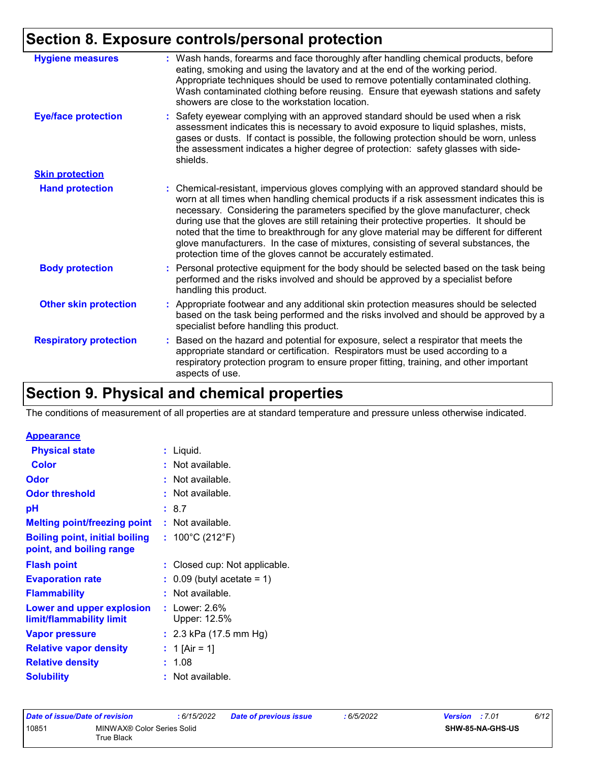## **Section 8. Exposure controls/personal protection**

| <b>Hygiene measures</b>       | : Wash hands, forearms and face thoroughly after handling chemical products, before<br>eating, smoking and using the lavatory and at the end of the working period.<br>Appropriate techniques should be used to remove potentially contaminated clothing.<br>Wash contaminated clothing before reusing. Ensure that eyewash stations and safety<br>showers are close to the workstation location.                                                                                                                                                                                                                    |
|-------------------------------|----------------------------------------------------------------------------------------------------------------------------------------------------------------------------------------------------------------------------------------------------------------------------------------------------------------------------------------------------------------------------------------------------------------------------------------------------------------------------------------------------------------------------------------------------------------------------------------------------------------------|
| <b>Eye/face protection</b>    | Safety eyewear complying with an approved standard should be used when a risk<br>t.<br>assessment indicates this is necessary to avoid exposure to liquid splashes, mists,<br>gases or dusts. If contact is possible, the following protection should be worn, unless<br>the assessment indicates a higher degree of protection: safety glasses with side-<br>shields.                                                                                                                                                                                                                                               |
| <b>Skin protection</b>        |                                                                                                                                                                                                                                                                                                                                                                                                                                                                                                                                                                                                                      |
| <b>Hand protection</b>        | Chemical-resistant, impervious gloves complying with an approved standard should be<br>worn at all times when handling chemical products if a risk assessment indicates this is<br>necessary. Considering the parameters specified by the glove manufacturer, check<br>during use that the gloves are still retaining their protective properties. It should be<br>noted that the time to breakthrough for any glove material may be different for different<br>glove manufacturers. In the case of mixtures, consisting of several substances, the<br>protection time of the gloves cannot be accurately estimated. |
| <b>Body protection</b>        | : Personal protective equipment for the body should be selected based on the task being<br>performed and the risks involved and should be approved by a specialist before<br>handling this product.                                                                                                                                                                                                                                                                                                                                                                                                                  |
| <b>Other skin protection</b>  | : Appropriate footwear and any additional skin protection measures should be selected<br>based on the task being performed and the risks involved and should be approved by a<br>specialist before handling this product.                                                                                                                                                                                                                                                                                                                                                                                            |
| <b>Respiratory protection</b> | Based on the hazard and potential for exposure, select a respirator that meets the<br>appropriate standard or certification. Respirators must be used according to a<br>respiratory protection program to ensure proper fitting, training, and other important<br>aspects of use.                                                                                                                                                                                                                                                                                                                                    |
|                               |                                                                                                                                                                                                                                                                                                                                                                                                                                                                                                                                                                                                                      |

## **Section 9. Physical and chemical properties**

The conditions of measurement of all properties are at standard temperature and pressure unless otherwise indicated.

#### **Appearance**

| <b>Physical state</b>                                             | : Liquid.                             |
|-------------------------------------------------------------------|---------------------------------------|
| <b>Color</b>                                                      | : Not available.                      |
| <b>Odor</b>                                                       | : Not available.                      |
| <b>Odor threshold</b>                                             | : Not available.                      |
| рH                                                                | : 8.7                                 |
| <b>Melting point/freezing point</b>                               | $:$ Not available.                    |
| <b>Boiling point, initial boiling</b><br>point, and boiling range | : $100^{\circ}$ C (212 $^{\circ}$ F)  |
| <b>Flash point</b>                                                | : Closed cup: Not applicable.         |
| <b>Evaporation rate</b>                                           | $\therefore$ 0.09 (butyl acetate = 1) |
| <b>Flammability</b>                                               | Not available.                        |
| Lower and upper explosion<br>limit/flammability limit             | : Lower: $2.6\%$<br>Upper: 12.5%      |
| <b>Vapor pressure</b>                                             | : $2.3$ kPa (17.5 mm Hg)              |
| <b>Relative vapor density</b>                                     | : 1 [Air = 1]                         |
| <b>Relative density</b>                                           | 1.08                                  |
| <b>Solubility</b>                                                 | Not available.                        |

| Date of issue/Date of revision |                                          | :6/15/2022 | <b>Date of previous issue</b> | : 6/5/2022 | <b>Version</b> : 7.01 | 6/12 |
|--------------------------------|------------------------------------------|------------|-------------------------------|------------|-----------------------|------|
| 10851                          | MINWAX® Color Series Solid<br>True Black |            |                               |            | SHW-85-NA-GHS-US      |      |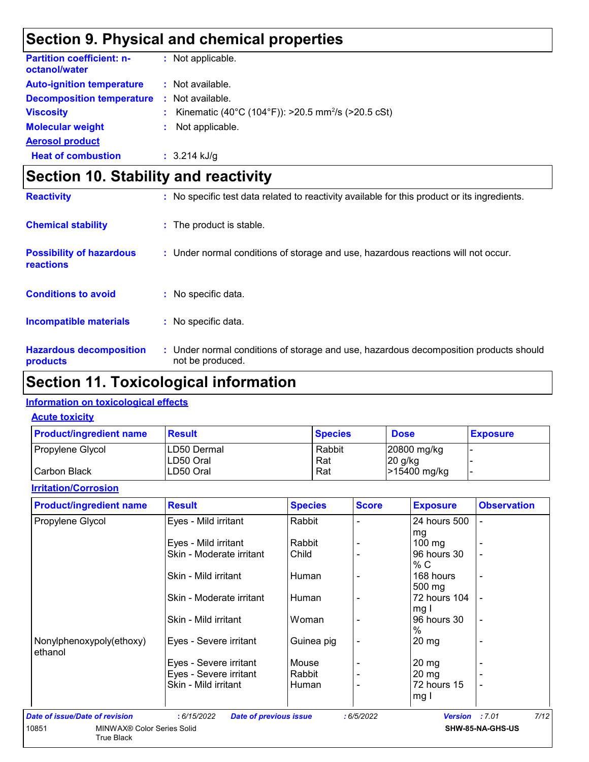## **Section 9. Physical and chemical properties**

| <b>Partition coefficient: n-</b><br>octanol/water |    | : Not applicable.                                              |
|---------------------------------------------------|----|----------------------------------------------------------------|
| <b>Auto-ignition temperature</b>                  |    | $\therefore$ Not available.                                    |
| <b>Decomposition temperature</b>                  |    | $\therefore$ Not available.                                    |
| <b>Viscosity</b>                                  | t. | Kinematic (40°C (104°F)): >20.5 mm <sup>2</sup> /s (>20.5 cSt) |
| <b>Molecular weight</b>                           |    | Not applicable.                                                |
| <b>Aerosol product</b>                            |    |                                                                |
| <b>Heat of combustion</b>                         |    | $: 3.214$ kJ/g                                                 |

## **Section 10. Stability and reactivity**

| <b>Reactivity</b>                            | : No specific test data related to reactivity available for this product or its ingredients.              |
|----------------------------------------------|-----------------------------------------------------------------------------------------------------------|
| <b>Chemical stability</b>                    | : The product is stable.                                                                                  |
| <b>Possibility of hazardous</b><br>reactions | : Under normal conditions of storage and use, hazardous reactions will not occur.                         |
| <b>Conditions to avoid</b>                   | : No specific data.                                                                                       |
| <b>Incompatible materials</b>                | : No specific data.                                                                                       |
| <b>Hazardous decomposition</b><br>products   | : Under normal conditions of storage and use, hazardous decomposition products should<br>not be produced. |

## **Section 11. Toxicological information**

#### **Information on toxicological effects**

True Black

#### **Acute toxicity**

| <b>Product/ingredient name</b> | <b>Result</b>            | <b>Species</b> | <b>Dose</b>             | <b>Exposure</b> |
|--------------------------------|--------------------------|----------------|-------------------------|-----------------|
| Propylene Glycol               | LD50 Dermal<br>LD50 Oral | Rabbit<br>Rat  | 20800 mg/kg<br> 20 g/kg |                 |
| l Carbon Black                 | LD50 Oral                | Rat            | >15400 mg/kg            |                 |

#### **Irritation/Corrosion**

| <b>Product/ingredient name</b> | <b>Result</b>                                | <b>Species</b> | <b>Score</b> | <b>Exposure</b>  | <b>Observation</b> |
|--------------------------------|----------------------------------------------|----------------|--------------|------------------|--------------------|
| Propylene Glycol               | Eyes - Mild irritant                         | Rabbit         |              | 24 hours 500     |                    |
|                                |                                              |                |              | mg               |                    |
|                                | Eyes - Mild irritant                         | Rabbit         |              | $100 \text{ mg}$ |                    |
|                                | Skin - Moderate irritant                     | Child          |              | 96 hours 30      |                    |
|                                |                                              |                |              | % C              |                    |
|                                | Skin - Mild irritant                         | Human          |              | 168 hours        |                    |
|                                |                                              |                |              | 500 mg           |                    |
|                                | Skin - Moderate irritant                     | Human          |              | 72 hours 104     |                    |
|                                |                                              |                |              | mg I             |                    |
|                                | Skin - Mild irritant                         | Woman          |              | 96 hours 30      |                    |
|                                |                                              |                |              | $\%$             |                    |
| Nonylphenoxypoly(ethoxy)       | Eyes - Severe irritant                       | Guinea pig     |              | $20 \, mg$       |                    |
| ethanol                        |                                              |                |              |                  |                    |
|                                | Eyes - Severe irritant                       | Mouse          |              | 20 mg            |                    |
|                                | Eyes - Severe irritant                       | Rabbit         |              | 20 mg            |                    |
|                                | Skin - Mild irritant                         | Human          |              | 72 hours 15      | $\blacksquare$     |
|                                |                                              |                |              | mg I             |                    |
| Date of issue/Date of revision | : 6/15/2022<br><b>Date of previous issue</b> |                | :6/5/2022    | <b>Version</b>   | 7/12<br>:7.01      |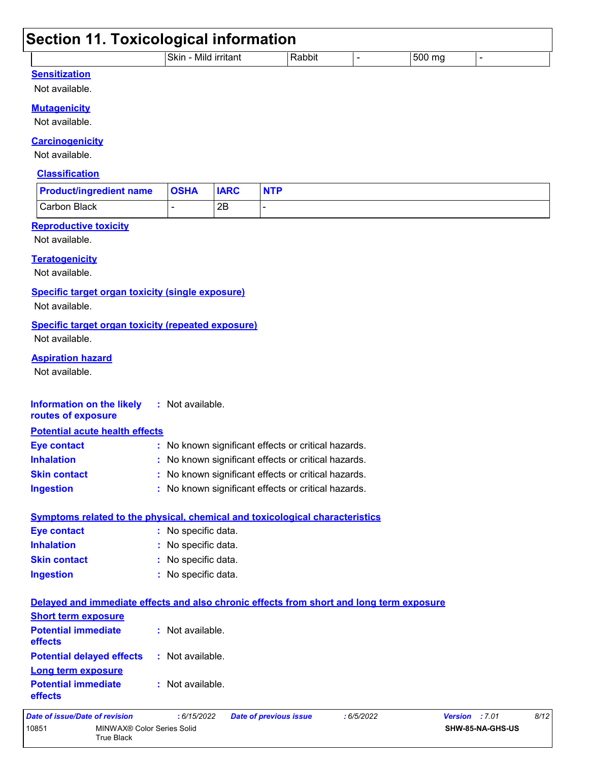| <b>Section 11. Toxicological information</b>                                             |                      |             |                                                     |               |                |                |
|------------------------------------------------------------------------------------------|----------------------|-------------|-----------------------------------------------------|---------------|----------------|----------------|
|                                                                                          | Skin - Mild irritant |             | Rabbit                                              | $\frac{1}{2}$ | 500 mg         | $\blacksquare$ |
| <b>Sensitization</b>                                                                     |                      |             |                                                     |               |                |                |
| Not available.                                                                           |                      |             |                                                     |               |                |                |
| <b>Mutagenicity</b>                                                                      |                      |             |                                                     |               |                |                |
| Not available.                                                                           |                      |             |                                                     |               |                |                |
| <b>Carcinogenicity</b>                                                                   |                      |             |                                                     |               |                |                |
| Not available.                                                                           |                      |             |                                                     |               |                |                |
| <b>Classification</b>                                                                    |                      |             |                                                     |               |                |                |
|                                                                                          |                      |             |                                                     |               |                |                |
| <b>Product/ingredient name</b>                                                           | <b>OSHA</b>          | <b>IARC</b> | <b>NTP</b>                                          |               |                |                |
| <b>Carbon Black</b>                                                                      |                      | 2B          |                                                     |               |                |                |
| <b>Reproductive toxicity</b>                                                             |                      |             |                                                     |               |                |                |
| Not available.                                                                           |                      |             |                                                     |               |                |                |
| <b>Teratogenicity</b>                                                                    |                      |             |                                                     |               |                |                |
| Not available.                                                                           |                      |             |                                                     |               |                |                |
| Specific target organ toxicity (single exposure)                                         |                      |             |                                                     |               |                |                |
| Not available.                                                                           |                      |             |                                                     |               |                |                |
| <b>Specific target organ toxicity (repeated exposure)</b>                                |                      |             |                                                     |               |                |                |
| Not available.                                                                           |                      |             |                                                     |               |                |                |
| <b>Aspiration hazard</b>                                                                 |                      |             |                                                     |               |                |                |
| Not available.                                                                           |                      |             |                                                     |               |                |                |
|                                                                                          |                      |             |                                                     |               |                |                |
| <b>Information on the likely</b>                                                         | : Not available.     |             |                                                     |               |                |                |
| routes of exposure                                                                       |                      |             |                                                     |               |                |                |
| <b>Potential acute health effects</b>                                                    |                      |             |                                                     |               |                |                |
| <b>Eye contact</b>                                                                       |                      |             | : No known significant effects or critical hazards. |               |                |                |
| <b>Inhalation</b>                                                                        |                      |             | : No known significant effects or critical hazards. |               |                |                |
| <b>Skin contact</b>                                                                      |                      |             | : No known significant effects or critical hazards. |               |                |                |
| <b>Ingestion</b>                                                                         |                      |             | : No known significant effects or critical hazards. |               |                |                |
|                                                                                          |                      |             |                                                     |               |                |                |
| <b>Symptoms related to the physical, chemical and toxicological characteristics</b>      |                      |             |                                                     |               |                |                |
| <b>Eye contact</b>                                                                       | : No specific data.  |             |                                                     |               |                |                |
| <b>Inhalation</b>                                                                        | : No specific data.  |             |                                                     |               |                |                |
| <b>Skin contact</b>                                                                      | : No specific data.  |             |                                                     |               |                |                |
| <b>Ingestion</b>                                                                         | : No specific data.  |             |                                                     |               |                |                |
| Delayed and immediate effects and also chronic effects from short and long term exposure |                      |             |                                                     |               |                |                |
| <b>Short term exposure</b>                                                               |                      |             |                                                     |               |                |                |
| <b>Potential immediate</b>                                                               | : Not available.     |             |                                                     |               |                |                |
| effects                                                                                  |                      |             |                                                     |               |                |                |
| <b>Potential delayed effects</b>                                                         | : Not available.     |             |                                                     |               |                |                |
| <b>Long term exposure</b>                                                                |                      |             |                                                     |               |                |                |
| <b>Potential immediate</b>                                                               | : Not available.     |             |                                                     |               |                |                |
| effects                                                                                  |                      |             |                                                     |               |                |                |
| <b>Date of issue/Date of revision</b>                                                    | : 6/15/2022          |             | <b>Date of previous issue</b>                       | :6/5/2022     | Version : 7.01 | 8/12           |

**SHW-85-NA-GHS-US**

10851 MINWAX® Color Series Solid True Black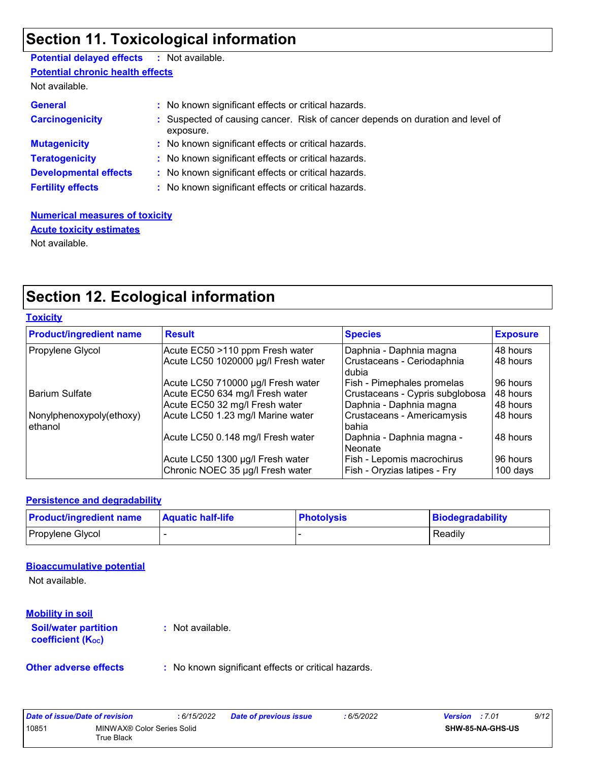## **Section 11. Toxicological information**

## **Potential delayed effects :** Not available.

**Potential chronic health effects**

Not available.

| <b>General</b><br><b>Carcinogenicity</b> | : No known significant effects or critical hazards.<br>: Suspected of causing cancer. Risk of cancer depends on duration and level of<br>exposure. |
|------------------------------------------|----------------------------------------------------------------------------------------------------------------------------------------------------|
| <b>Mutagenicity</b>                      | : No known significant effects or critical hazards.                                                                                                |
| <b>Teratogenicity</b>                    | : No known significant effects or critical hazards.                                                                                                |
| <b>Developmental effects</b>             | : No known significant effects or critical hazards.                                                                                                |
| <b>Fertility effects</b>                 | : No known significant effects or critical hazards.                                                                                                |

**Numerical measures of toxicity** Not available. **Acute toxicity estimates**

## **Section 12. Ecological information**

| <b>Toxicity</b>                     |                                     |                                      |                 |
|-------------------------------------|-------------------------------------|--------------------------------------|-----------------|
| <b>Product/ingredient name</b>      | <b>Result</b>                       | <b>Species</b>                       | <b>Exposure</b> |
| Propylene Glycol                    | Acute EC50 >110 ppm Fresh water     | Daphnia - Daphnia magna              | 48 hours        |
|                                     | Acute LC50 1020000 µg/l Fresh water | Crustaceans - Ceriodaphnia<br>dubia  | 48 hours        |
|                                     | Acute LC50 710000 µg/l Fresh water  | Fish - Pimephales promelas           | 96 hours        |
| <b>Barium Sulfate</b>               | Acute EC50 634 mg/l Fresh water     | Crustaceans - Cypris subglobosa      | 48 hours        |
|                                     | Acute EC50 32 mg/l Fresh water      | Daphnia - Daphnia magna              | 48 hours        |
| Nonylphenoxypoly(ethoxy)<br>ethanol | Acute LC50 1.23 mg/l Marine water   | Crustaceans - Americamysis<br>bahia  | 48 hours        |
|                                     | Acute LC50 0.148 mg/l Fresh water   | Daphnia - Daphnia magna -<br>Neonate | 48 hours        |
|                                     | Acute LC50 1300 µg/l Fresh water    | Fish - Lepomis macrochirus           | 96 hours        |
|                                     | Chronic NOEC 35 µg/l Fresh water    | Fish - Oryzias latipes - Fry         | 100 days        |

#### **Persistence and degradability**

| <b>Product/ingredient name</b> | <b>Aquatic half-life</b> | <b>Photolysis</b> | Biodegradability |
|--------------------------------|--------------------------|-------------------|------------------|
| Propylene Glycol               |                          |                   | Readily          |

#### **Bioaccumulative potential**

Not available.

#### **Mobility in soil**

**Soil/water partition coefficient (KOC)**

**:** Not available.

**Other adverse effects** : No known significant effects or critical hazards.

| Date of issue/Date of revision |                                          | : 6/15/2022 | <b>Date of previous issue</b> | : 6/5/2022 | <b>Version</b> : 7.01 |                         | 9/12 |
|--------------------------------|------------------------------------------|-------------|-------------------------------|------------|-----------------------|-------------------------|------|
| 10851                          | MINWAX® Color Series Solid<br>True Black |             |                               |            |                       | <b>SHW-85-NA-GHS-US</b> |      |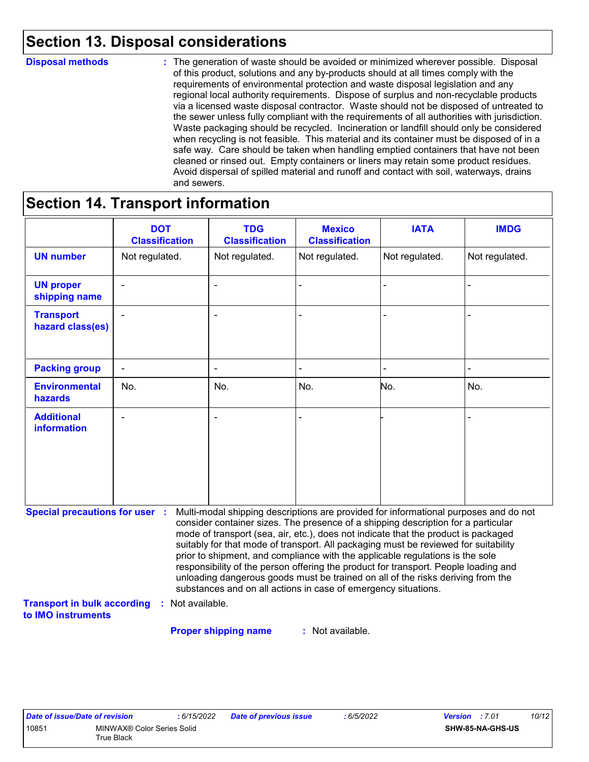## **Section 13. Disposal considerations**

#### **Disposal methods :**

The generation of waste should be avoided or minimized wherever possible. Disposal of this product, solutions and any by-products should at all times comply with the requirements of environmental protection and waste disposal legislation and any regional local authority requirements. Dispose of surplus and non-recyclable products via a licensed waste disposal contractor. Waste should not be disposed of untreated to the sewer unless fully compliant with the requirements of all authorities with jurisdiction. Waste packaging should be recycled. Incineration or landfill should only be considered when recycling is not feasible. This material and its container must be disposed of in a safe way. Care should be taken when handling emptied containers that have not been cleaned or rinsed out. Empty containers or liners may retain some product residues. Avoid dispersal of spilled material and runoff and contact with soil, waterways, drains and sewers.

## **Section 14. Transport information**

| <b>DOT</b><br><b>Classification</b>                                         | <b>TDG</b><br><b>Classification</b> | <b>Mexico</b><br><b>Classification</b>        | <b>IATA</b>      | <b>IMDG</b>                                                                                                                                                                                                                                                                                                                                                                                                                                                                                                                                                                                                                                                                         |
|-----------------------------------------------------------------------------|-------------------------------------|-----------------------------------------------|------------------|-------------------------------------------------------------------------------------------------------------------------------------------------------------------------------------------------------------------------------------------------------------------------------------------------------------------------------------------------------------------------------------------------------------------------------------------------------------------------------------------------------------------------------------------------------------------------------------------------------------------------------------------------------------------------------------|
| Not regulated.                                                              | Not regulated.                      | Not regulated.                                | Not regulated.   | Not regulated.                                                                                                                                                                                                                                                                                                                                                                                                                                                                                                                                                                                                                                                                      |
|                                                                             |                                     |                                               |                  |                                                                                                                                                                                                                                                                                                                                                                                                                                                                                                                                                                                                                                                                                     |
|                                                                             |                                     |                                               |                  |                                                                                                                                                                                                                                                                                                                                                                                                                                                                                                                                                                                                                                                                                     |
| $\blacksquare$                                                              |                                     |                                               |                  |                                                                                                                                                                                                                                                                                                                                                                                                                                                                                                                                                                                                                                                                                     |
| No.                                                                         | No.                                 | No.                                           | No.              | No.                                                                                                                                                                                                                                                                                                                                                                                                                                                                                                                                                                                                                                                                                 |
|                                                                             |                                     |                                               |                  |                                                                                                                                                                                                                                                                                                                                                                                                                                                                                                                                                                                                                                                                                     |
| <b>Special precautions for user :</b><br><b>Transport in bulk according</b> |                                     |                                               |                  |                                                                                                                                                                                                                                                                                                                                                                                                                                                                                                                                                                                                                                                                                     |
|                                                                             |                                     | Not available.<br><b>Proper shipping name</b> | : Not available. | Multi-modal shipping descriptions are provided for informational purposes and do not<br>consider container sizes. The presence of a shipping description for a particular<br>mode of transport (sea, air, etc.), does not indicate that the product is packaged<br>suitably for that mode of transport. All packaging must be reviewed for suitability<br>prior to shipment, and compliance with the applicable regulations is the sole<br>responsibility of the person offering the product for transport. People loading and<br>unloading dangerous goods must be trained on all of the risks deriving from the<br>substances and on all actions in case of emergency situations. |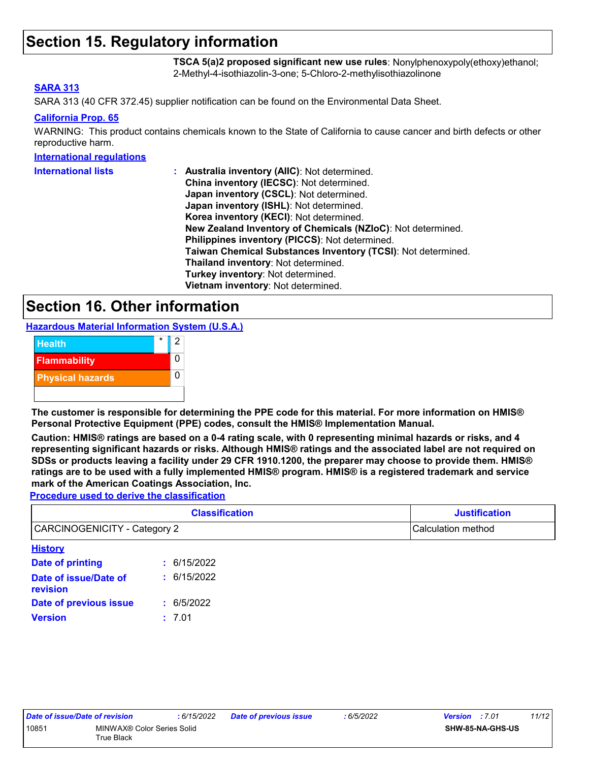### **Section 15. Regulatory information**

**TSCA 5(a)2 proposed significant new use rules**: Nonylphenoxypoly(ethoxy)ethanol; 2-Methyl-4-isothiazolin-3-one; 5-Chloro-2-methylisothiazolinone

#### **SARA 313**

SARA 313 (40 CFR 372.45) supplier notification can be found on the Environmental Data Sheet.

#### **California Prop. 65**

WARNING: This product contains chemicals known to the State of California to cause cancer and birth defects or other reproductive harm.

#### **International regulations**

| <b>International lists</b> | : Australia inventory (AIIC): Not determined.<br>China inventory (IECSC): Not determined. |
|----------------------------|-------------------------------------------------------------------------------------------|
|                            | Japan inventory (CSCL): Not determined.                                                   |
|                            | Japan inventory (ISHL): Not determined.                                                   |
|                            | Korea inventory (KECI): Not determined.                                                   |
|                            | New Zealand Inventory of Chemicals (NZIoC): Not determined.                               |
|                            | Philippines inventory (PICCS): Not determined.                                            |
|                            | Taiwan Chemical Substances Inventory (TCSI): Not determined.                              |
|                            | Thailand inventory: Not determined.                                                       |
|                            | Turkey inventory: Not determined.                                                         |
|                            | Vietnam inventory: Not determined.                                                        |

### **Section 16. Other information**

**Hazardous Material Information System (U.S.A.)**



**The customer is responsible for determining the PPE code for this material. For more information on HMIS® Personal Protective Equipment (PPE) codes, consult the HMIS® Implementation Manual.**

**Caution: HMIS® ratings are based on a 0-4 rating scale, with 0 representing minimal hazards or risks, and 4 representing significant hazards or risks. Although HMIS® ratings and the associated label are not required on SDSs or products leaving a facility under 29 CFR 1910.1200, the preparer may choose to provide them. HMIS® ratings are to be used with a fully implemented HMIS® program. HMIS® is a registered trademark and service mark of the American Coatings Association, Inc.**

**Procedure used to derive the classification**

| <b>Classification</b>               |             | <b>Justification</b> |
|-------------------------------------|-------------|----------------------|
| <b>CARCINOGENICITY - Category 2</b> |             | Calculation method   |
| <b>History</b>                      |             |                      |
| Date of printing                    | : 6/15/2022 |                      |
| Date of issue/Date of<br>revision   | : 6/15/2022 |                      |
| Date of previous issue              | 6/5/2022    |                      |

**Version :** 7.01